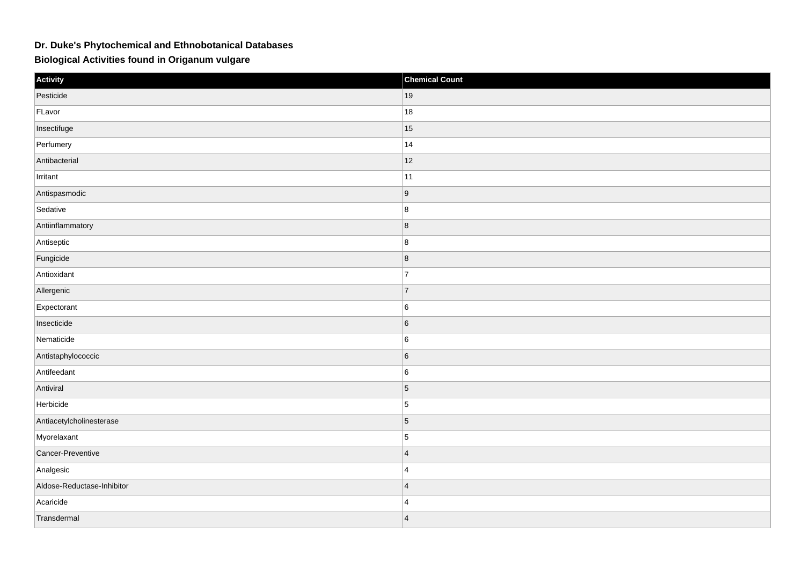## **Dr. Duke's Phytochemical and Ethnobotanical Databases**

**Biological Activities found in Origanum vulgare**

| Activity                   | <b>Chemical Count</b> |
|----------------------------|-----------------------|
| Pesticide                  | 19                    |
| FLavor                     | 18                    |
| Insectifuge                | 15                    |
| Perfumery                  | 14                    |
| Antibacterial              | 12                    |
| Irritant                   | 11                    |
| Antispasmodic              | 9                     |
| Sedative                   | 8                     |
| Antiinflammatory           | 8                     |
| Antiseptic                 | 8                     |
| Fungicide                  | 8                     |
| Antioxidant                | $\overline{7}$        |
| Allergenic                 | 7                     |
| Expectorant                | 6                     |
| Insecticide                | $\sqrt{6}$            |
| Nematicide                 | 6                     |
| Antistaphylococcic         | $6\phantom{.}6$       |
| Antifeedant                | $\,6$                 |
| Antiviral                  | $\vert$ 5             |
| Herbicide                  | $\vert$ 5             |
| Antiacetylcholinesterase   | $\vert 5 \vert$       |
| Myorelaxant                | $\vert$ 5             |
| Cancer-Preventive          | $\overline{4}$        |
| Analgesic                  | $\overline{4}$        |
| Aldose-Reductase-Inhibitor | $\overline{4}$        |
| Acaricide                  | $\overline{4}$        |
| Transdermal                | $\overline{4}$        |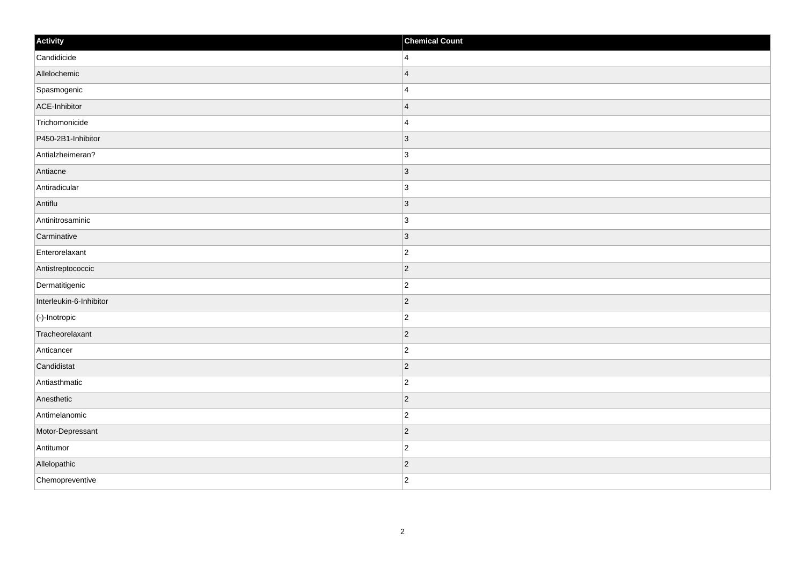| Activity                | <b>Chemical Count</b> |
|-------------------------|-----------------------|
| Candidicide             | $\vert$ 4             |
| Allelochemic            | $\vert$ 4             |
| Spasmogenic             | 4                     |
| ACE-Inhibitor           | $\vert$ 4             |
| Trichomonicide          | 4                     |
| P450-2B1-Inhibitor      | $ 3\rangle$           |
| Antialzheimeran?        | 3                     |
| Antiacne                | 3                     |
| Antiradicular           | 3                     |
| Antiflu                 | $ 3\rangle$           |
| Antinitrosaminic        | 3                     |
| Carminative             | $ 3\rangle$           |
| Enterorelaxant          | $\vert$ 2             |
| Antistreptococcic       | $\vert$ 2             |
| Dermatitigenic          | $ 2\rangle$           |
| Interleukin-6-Inhibitor | $ 2\rangle$           |
| $\vert$ (-)-Inotropic   | $ 2\rangle$           |
| Tracheorelaxant         | $ 2\rangle$           |
| Anticancer              | $\vert$ 2             |
| Candidistat             | $ 2\rangle$           |
| Antiasthmatic           | $ 2\rangle$           |
| Anesthetic              | $ 2\rangle$           |
| Antimelanomic           | $ 2\rangle$           |
| Motor-Depressant        | $\vert$ 2             |
| Antitumor               | $ 2\rangle$           |
| Allelopathic            | $\vert$ 2             |
| Chemopreventive         | $ 2\rangle$           |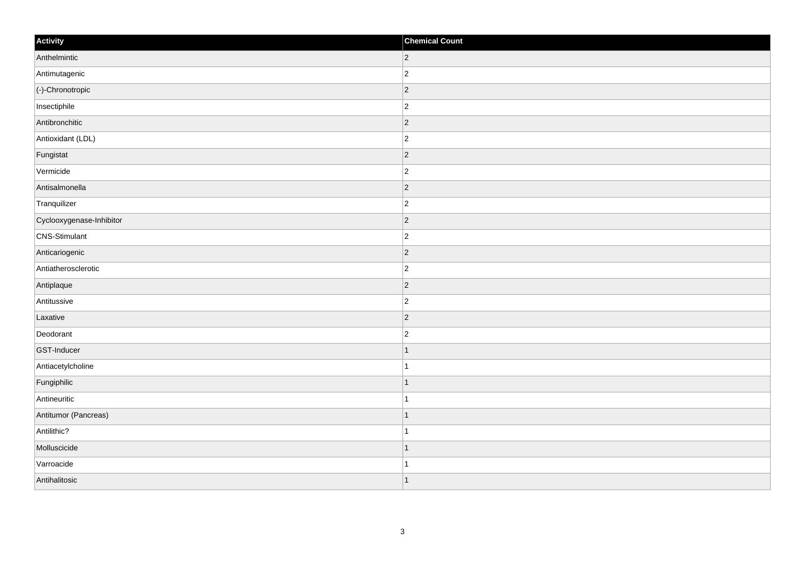| Activity                 | <b>Chemical Count</b> |
|--------------------------|-----------------------|
| Anthelmintic             | $ 2\rangle$           |
| Antimutagenic            | $\overline{2}$        |
| (-)-Chronotropic         | $ 2\rangle$           |
| Insectiphile             | $\overline{c}$        |
| Antibronchitic           | $\overline{2}$        |
| Antioxidant (LDL)        | $ 2\rangle$           |
| Fungistat                | $ 2\rangle$           |
| Vermicide                | $\overline{c}$        |
| Antisalmonella           | $ 2\rangle$           |
| Tranquilizer             | $\overline{2}$        |
| Cyclooxygenase-Inhibitor | $\overline{2}$        |
| CNS-Stimulant            | $ 2\rangle$           |
| Anticariogenic           | $ 2\rangle$           |
| Antiatherosclerotic      | $\overline{c}$        |
| Antiplaque               | $ 2\rangle$           |
| Antitussive              | $ 2\rangle$           |
| Laxative                 | $\overline{2}$        |
| Deodorant                | $\overline{c}$        |
| GST-Inducer              | $\vert$ 1             |
| Antiacetylcholine        | $\mathbf{1}$          |
| Fungiphilic              | 1                     |
| Antineuritic             | $\mathbf{1}$          |
| Antitumor (Pancreas)     | $\mathbf 1$           |
| Antilithic?              | $\mathbf{1}$          |
| Molluscicide             | $\mathbf 1$           |
| Varroacide               | 1                     |
| Antihalitosic            | $\vert$ 1             |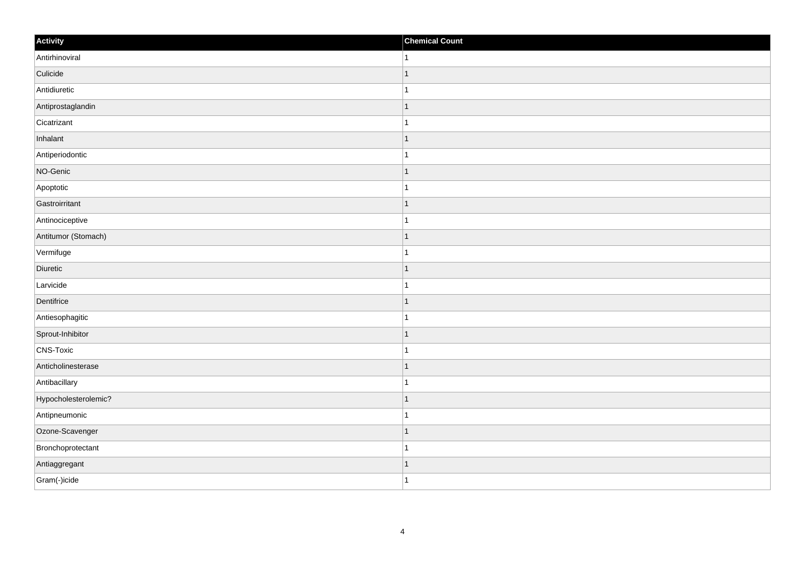| Activity             | <b>Chemical Count</b> |
|----------------------|-----------------------|
| Antirhinoviral       | 1                     |
| Culicide             |                       |
| Antidiuretic         |                       |
| Antiprostaglandin    | 1                     |
| Cicatrizant          | 1                     |
| Inhalant             |                       |
| Antiperiodontic      |                       |
| NO-Genic             | -1                    |
| Apoptotic            |                       |
| Gastroirritant       | -1                    |
| Antinociceptive      | 1                     |
| Antitumor (Stomach)  |                       |
| Vermifuge            |                       |
| Diuretic             |                       |
| Larvicide            |                       |
| Dentifrice           | -1                    |
| Antiesophagitic      | 1                     |
| Sprout-Inhibitor     | ٠                     |
| CNS-Toxic            |                       |
| Anticholinesterase   |                       |
| Antibacillary        |                       |
| Hypocholesterolemic? | 1                     |
| Antipneumonic        | 1                     |
| Ozone-Scavenger      |                       |
| Bronchoprotectant    |                       |
| Antiaggregant        | 1                     |
| Gram(-)icide         | 1                     |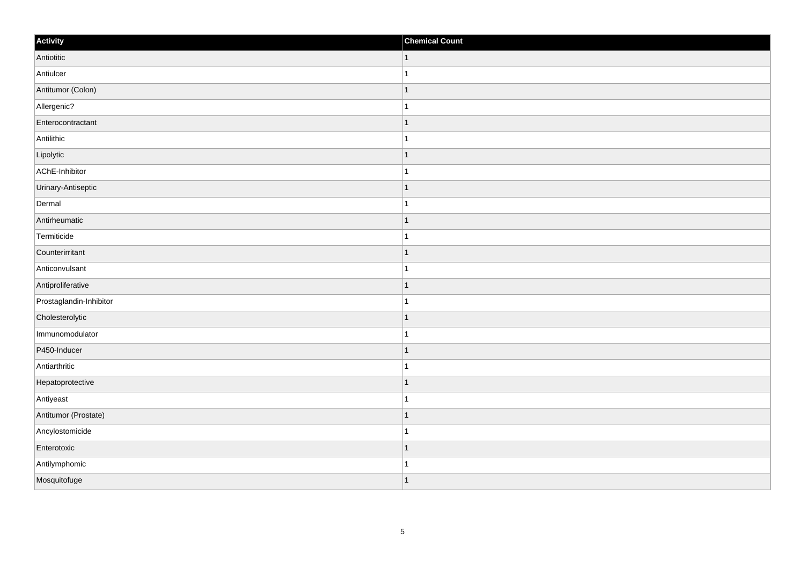| Activity                | <b>Chemical Count</b> |
|-------------------------|-----------------------|
| Antiotitic              | $\vert$ 1             |
| Antiulcer               | $\mathbf{1}$          |
| Antitumor (Colon)       | $\overline{1}$        |
| Allergenic?             | $\mathbf{1}$          |
| Enterocontractant       | $\overline{1}$        |
| Antilithic              | $\overline{1}$        |
| Lipolytic               | $\mathbf{1}$          |
| AChE-Inhibitor          | $\mathbf{1}$          |
| Urinary-Antiseptic      | $\overline{1}$        |
| Dermal                  | $\mathbf{1}$          |
| Antirheumatic           | $\overline{1}$        |
| Termiticide             | $\overline{1}$        |
| Counterirritant         | $\mathbf{1}$          |
| Anticonvulsant          | $\mathbf{1}$          |
| Antiproliferative       | $\overline{1}$        |
| Prostaglandin-Inhibitor | $\mathbf{1}$          |
| Cholesterolytic         | $\overline{1}$        |
| Immunomodulator         | $\overline{1}$        |
| P450-Inducer            | $\mathbf{1}$          |
| Antiarthritic           | $\mathbf{1}$          |
| Hepatoprotective        | $\overline{1}$        |
| Antiyeast               | $\mathbf{1}$          |
| Antitumor (Prostate)    | $\mathbf{1}$          |
| Ancylostomicide         | $\mathbf{1}$          |
| Enterotoxic             | $\overline{1}$        |
| Antilymphomic           | $\mathbf{1}$          |
| Mosquitofuge            | $\mathbf{1}$          |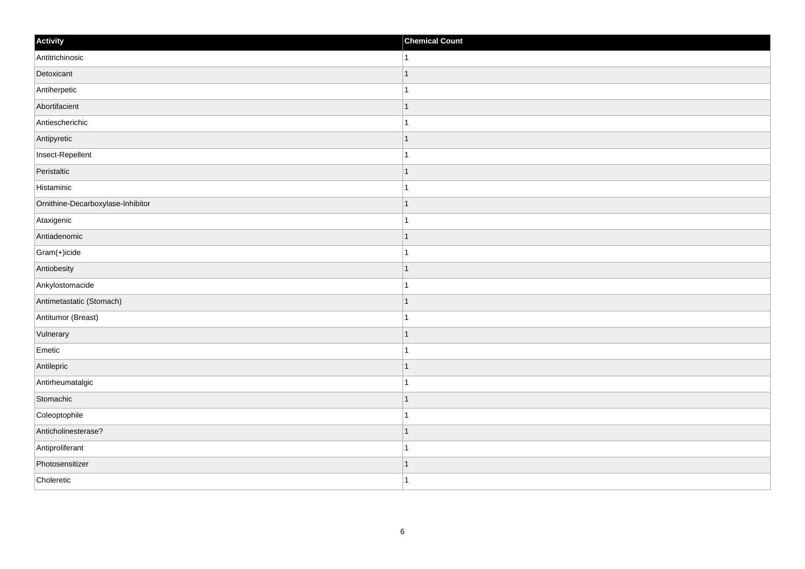| Activity                          | <b>Chemical Count</b> |
|-----------------------------------|-----------------------|
| Antitrichinosic                   | 1                     |
| Detoxicant                        |                       |
| Antiherpetic                      |                       |
| Abortifacient                     | 1                     |
| Antiescherichic                   | 1                     |
| Antipyretic                       |                       |
| Insect-Repellent                  |                       |
| Peristaltic                       |                       |
| Histaminic                        |                       |
| Ornithine-Decarboxylase-Inhibitor | 1                     |
| Ataxigenic                        | 1                     |
| Antiadenomic                      |                       |
| Gram(+)icide                      |                       |
| Antiobesity                       |                       |
| Ankylostomacide                   |                       |
| Antimetastatic (Stomach)          | 1                     |
| Antitumor (Breast)                | 1                     |
| Vulnerary                         |                       |
| Emetic                            |                       |
| Antilepric                        |                       |
| Antirheumatalgic                  |                       |
| Stomachic                         |                       |
| Coleoptophile                     |                       |
| Anticholinesterase?               |                       |
| Antiproliferant                   | -1                    |
| Photosensitizer                   | -1                    |
| Choleretic                        | 1                     |